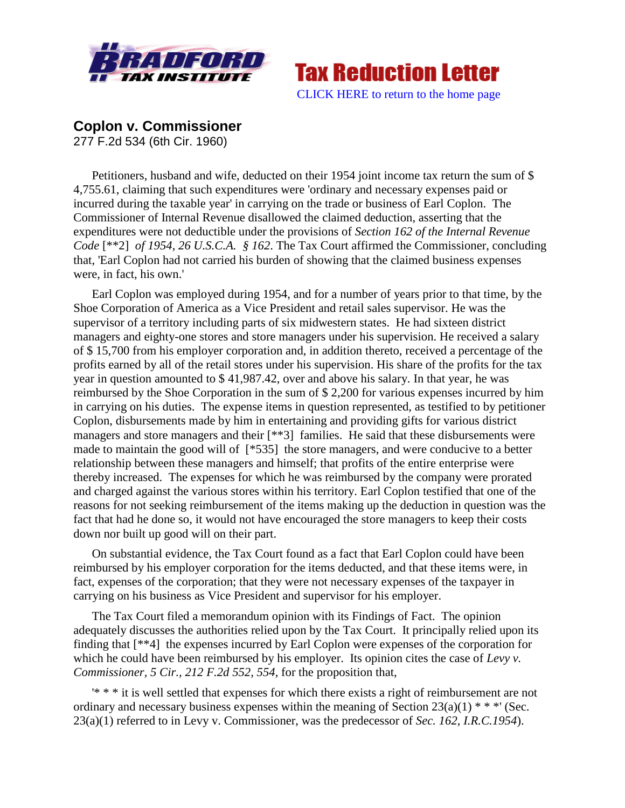



## **Coplon v. Commissioner**

277 F.2d 534 (6th Cir. 1960)

Petitioners, husband and wife, deducted on their 1954 joint income tax return the sum of \$ 4,755.61, claiming that such expenditures were 'ordinary and necessary expenses paid or incurred during the taxable year' in carrying on the trade or business of Earl Coplon. The Commissioner of Internal Revenue disallowed the claimed deduction, asserting that the expenditures were not deductible under the provisions of *Section 162 of the Internal Revenue Code* [\*\*2] *of 1954*, *26 U.S.C.A. § 162*. The Tax Court affirmed the Commissioner, concluding that, 'Earl Coplon had not carried his burden of showing that the claimed business expenses were, in fact, his own.'

Earl Coplon was employed during 1954, and for a number of years prior to that time, by the Shoe Corporation of America as a Vice President and retail sales supervisor. He was the supervisor of a territory including parts of six midwestern states. He had sixteen district managers and eighty-one stores and store managers under his supervision. He received a salary of \$ 15,700 from his employer corporation and, in addition thereto, received a percentage of the profits earned by all of the retail stores under his supervision. His share of the profits for the tax year in question amounted to \$ 41,987.42, over and above his salary. In that year, he was reimbursed by the Shoe Corporation in the sum of \$ 2,200 for various expenses incurred by him in carrying on his duties. The expense items in question represented, as testified to by petitioner Coplon, disbursements made by him in entertaining and providing gifts for various district managers and store managers and their [\*\*3] families. He said that these disbursements were made to maintain the good will of [\*535] the store managers, and were conducive to a better relationship between these managers and himself; that profits of the entire enterprise were thereby increased. The expenses for which he was reimbursed by the company were prorated and charged against the various stores within his territory. Earl Coplon testified that one of the reasons for not seeking reimbursement of the items making up the deduction in question was the fact that had he done so, it would not have encouraged the store managers to keep their costs down nor built up good will on their part.

On substantial evidence, the Tax Court found as a fact that Earl Coplon could have been reimbursed by his employer corporation for the items deducted, and that these items were, in fact, expenses of the corporation; that they were not necessary expenses of the taxpayer in carrying on his business as Vice President and supervisor for his employer.

The Tax Court filed a memorandum opinion with its Findings of Fact. The opinion adequately discusses the authorities relied upon by the Tax Court. It principally relied upon its finding that [\*\*4] the expenses incurred by Earl Coplon were expenses of the corporation for which he could have been reimbursed by his employer. Its opinion cites the case of *Levy v. Commissioner, 5 Cir., 212 F.2d 552, 554*, for the proposition that,

'\* \* \* it is well settled that expenses for which there exists a right of reimbursement are not ordinary and necessary business expenses within the meaning of Section  $23(a)(1)$  \* \* \*' (Sec. 23(a)(1) referred to in Levy v. Commissioner, was the predecessor of *Sec. 162, I.R.C.1954*).